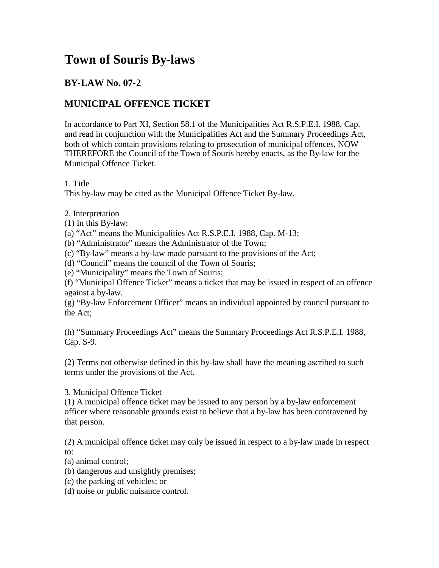## **Town of Souris By-laws**

## **BY-LAW No. 07-2**

## **MUNICIPAL OFFENCE TICKET**

In accordance to Part XI, Section 58.1 of the Municipalities Act R.S.P.E.I. 1988, Cap. and read in conjunction with the Municipalities Act and the Summary Proceedings Act, both of which contain provisions relating to prosecution of municipal offences, NOW THEREFORE the Council of the Town of Souris hereby enacts, as the By-law for the Municipal Offence Ticket.

## 1. Title

This by-law may be cited as the Municipal Offence Ticket By-law.

2. Interpretation

(1) In this By-law:

(a) "Act" means the Municipalities Act R.S.P.E.I. 1988, Cap. M-13;

(b) "Administrator" means the Administrator of the Town;

(c) "By-law" means a by-law made pursuant to the provisions of the Act;

(d) "Council" means the council of the Town of Souris;

(e) "Municipality" means the Town of Souris;

(f) "Municipal Offence Ticket" means a ticket that may be issued in respect of an offence against a by-law.

(g) "By-law Enforcement Officer" means an individual appointed by council pursuant to the Act;

(h) "Summary Proceedings Act" means the Summary Proceedings Act R.S.P.E.I. 1988, Cap. S-9.

(2) Terms not otherwise defined in this by-law shall have the meaning ascribed to such terms under the provisions of the Act.

3. Municipal Offence Ticket

(1) A municipal offence ticket may be issued to any person by a by-law enforcement officer where reasonable grounds exist to believe that a by-law has been contravened by that person.

(2) A municipal offence ticket may only be issued in respect to a by-law made in respect to:

(a) animal control;

(b) dangerous and unsightly premises;

(c) the parking of vehicles; or

(d) noise or public nuisance control.